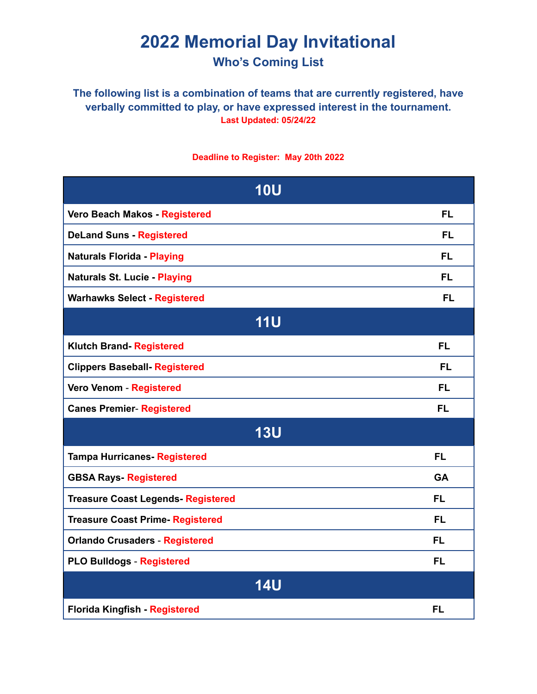# **2022 Memorial Day Invitational Who's Coming List**

#### **The following list is a combination of teams that are currently registered, have verbally committed to play, or have expressed interest in the tournament. Last Updated: 05/24/22**

#### **Deadline to Register: May 20th 2022**

| <b>10U</b>                               |           |
|------------------------------------------|-----------|
| Vero Beach Makos - Registered            | <b>FL</b> |
| <b>DeLand Suns - Registered</b>          | <b>FL</b> |
| <b>Naturals Florida - Playing</b>        | <b>FL</b> |
| <b>Naturals St. Lucie - Playing</b>      | <b>FL</b> |
| <b>Warhawks Select - Registered</b>      | <b>FL</b> |
| <b>11U</b>                               |           |
| <b>Klutch Brand- Registered</b>          | <b>FL</b> |
| <b>Clippers Baseball- Registered</b>     | FL        |
| Vero Venom - Registered                  | <b>FL</b> |
| <b>Canes Premier- Registered</b>         | FL        |
| <b>13U</b>                               |           |
| <b>Tampa Hurricanes- Registered</b>      | <b>FL</b> |
| <b>GBSA Rays- Registered</b>             | <b>GA</b> |
| <b>Treasure Coast Legends-Registered</b> | <b>FL</b> |
| <b>Treasure Coast Prime-Registered</b>   | <b>FL</b> |
| <b>Orlando Crusaders - Registered</b>    | <b>FL</b> |
| <b>PLO Bulldogs - Registered</b>         | <b>FL</b> |
| <b>14U</b>                               |           |
| Florida Kingfish - Registered            | <b>FL</b> |